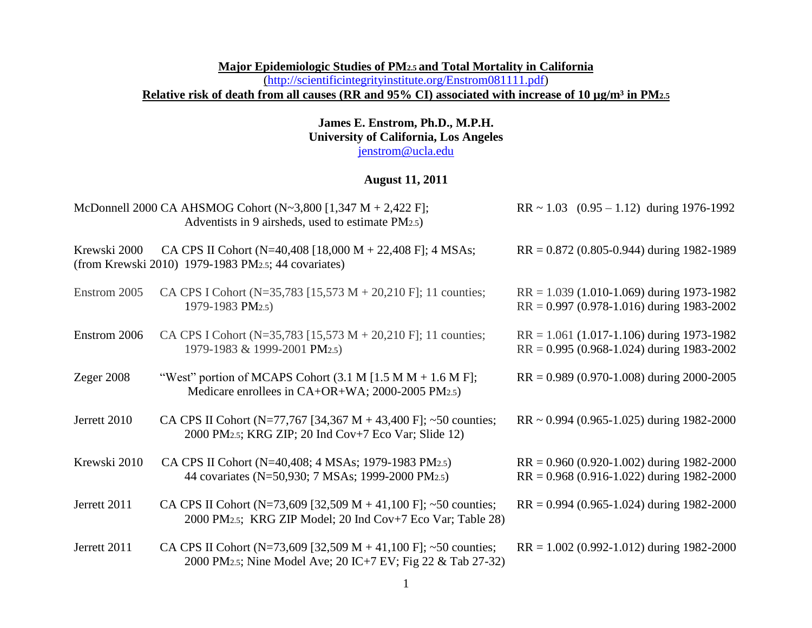### **Major Epidemiologic Studies of PM2.5 and Total Mortality in California**  [\(http://scientificintegrityinstitute.org/Enstrom081111.pdf\)](http://scientificintegrityinstitute.org/Enstrom081111.pdf) Relative risk of death from all causes (RR and 95% CI) associated with increase of 10 µg/m<sup>3</sup> in PM<sub>2.5</sub>

### **James E. Enstrom, Ph.D., M.P.H. University of California, Los Angeles** [jenstrom@ucla.edu](mailto:jenstrom@ucla.edu)

## **August 11, 2011**

|              | McDonnell 2000 CA AHSMOG Cohort (N~3,800 [1,347 M + 2,422 F];<br>Adventists in 9 airsheds, used to estimate PM2.5)                         | $RR \sim 1.03$ $(0.95 - 1.12)$ during 1976-1992                                              |
|--------------|--------------------------------------------------------------------------------------------------------------------------------------------|----------------------------------------------------------------------------------------------|
| Krewski 2000 | CA CPS II Cohort (N=40,408 [18,000 M + 22,408 F]; 4 MSAs;<br>(from Krewski 2010) 1979-1983 PM2.5; 44 covariates)                           | $RR = 0.872$ (0.805-0.944) during 1982-1989                                                  |
| Enstrom 2005 | CA CPS I Cohort (N=35,783 [15,573 M + 20,210 F]; 11 counties;<br>1979-1983 PM2.5)                                                          | $RR = 1.039$ (1.010-1.069) during 1973-1982<br>$RR = 0.997 (0.978 - 1.016)$ during 1983-2002 |
| Enstrom 2006 | CA CPS I Cohort (N=35,783 [15,573 M + 20,210 F]; 11 counties;<br>1979-1983 & 1999-2001 PM2.5)                                              | $RR = 1.061$ (1.017-1.106) during 1973-1982<br>$RR = 0.995 (0.968 - 1.024)$ during 1983-2002 |
| Zeger $2008$ | "West" portion of MCAPS Cohort $(3.1 M [1.5 M M + 1.6 M F])$ ;<br>Medicare enrollees in $CA+OR+WA$ ; 2000-2005 PM $_{2.5}$ )               | $RR = 0.989 (0.970 - 1.008)$ during 2000-2005                                                |
| Jerrett 2010 | CA CPS II Cohort (N=77,767 [34,367 M + 43,400 F]; ~50 counties;<br>2000 PM2.5; KRG ZIP; 20 Ind Cov+7 Eco Var; Slide 12)                    | $RR \sim 0.994$ (0.965-1.025) during 1982-2000                                               |
| Krewski 2010 | CA CPS II Cohort (N=40,408; 4 MSAs; 1979-1983 PM2.5)<br>44 covariates (N=50,930; 7 MSAs; 1999-2000 PM2.5)                                  | $RR = 0.960 (0.920-1.002)$ during 1982-2000<br>$RR = 0.968 (0.916 - 1.022)$ during 1982-2000 |
| Jerrett 2011 | CA CPS II Cohort (N=73,609 [32,509 M + 41,100 F]; ~50 counties;<br>2000 PM <sub>2.5</sub> ; KRG ZIP Model; 20 Ind Cov+7 Eco Var; Table 28) | $RR = 0.994 (0.965 - 1.024)$ during 1982-2000                                                |
| Jerrett 2011 | CA CPS II Cohort (N=73,609 [32,509 M + 41,100 F]; ~50 counties;<br>2000 PM2.5; Nine Model Ave; 20 IC+7 EV; Fig 22 & Tab 27-32)             | $RR = 1.002 (0.992 - 1.012)$ during 1982-2000                                                |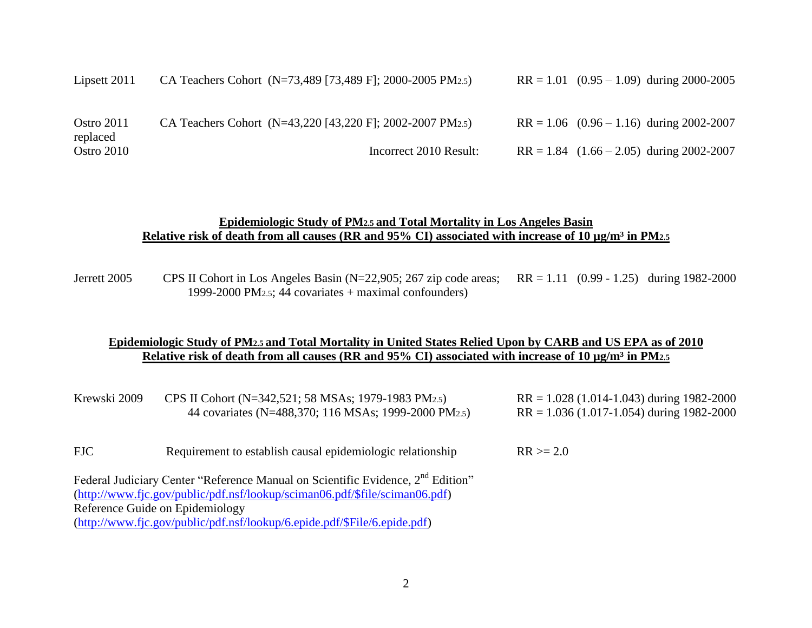| Lipsett 2011           | CA Teachers Cohort (N=73,489 [73,489 F]; 2000-2005 PM2.5) | $RR = 1.01$ (0.95 – 1.09) during 2000-2005   |
|------------------------|-----------------------------------------------------------|----------------------------------------------|
| Ostro 2011<br>replaced | CA Teachers Cohort (N=43,220 [43,220 F]; 2002-2007 PM2.5) | $RR = 1.06$ (0.96 – 1.16) during 2002-2007   |
| Ostro 2010             | Incorrect 2010 Result:                                    | $RR = 1.84$ $(1.66 - 2.05)$ during 2002-2007 |

#### **Epidemiologic Study of PM2.5 and Total Mortality in Los Angeles Basin** Relative risk of death from all causes (RR and 95% CI) associated with increase of 10 µg/m<sup>3</sup> in PM<sub>2.5</sub>

Jerrett 2005 CPS II Cohort in Los Angeles Basin (N=22,905; 267 zip code areas; RR = 1.11 (0.99 - 1.25) during 1982-2000 1999-2000 PM2.5; 44 covariates + maximal confounders)

### **Epidemiologic Study of PM2.5 and Total Mortality in United States Relied Upon by CARB and US EPA as of 2010** Relative risk of death from all causes (RR and 95% CI) associated with increase of 10  $\mu$ g/m<sup>3</sup> in PM<sub>2.5</sub>

| Krewski 2009                    | CPS II Cohort (N=342,521; 58 MSAs; 1979-1983 PM2.5)                                         | $RR = 1.028 (1.014 - 1.043)$ during 1982-2000 |
|---------------------------------|---------------------------------------------------------------------------------------------|-----------------------------------------------|
|                                 | 44 covariates (N=488,370; 116 MSAs; 1999-2000 PM2.5)                                        | $RR = 1.036 (1.017 - 1.054)$ during 1982-2000 |
| <b>FJC</b>                      | Requirement to establish causal epidemiologic relationship                                  | $RR \ge 2.0$                                  |
|                                 | Federal Judiciary Center "Reference Manual on Scientific Evidence, 2 <sup>nd</sup> Edition" |                                               |
|                                 | (http://www.fjc.gov/public/pdf.nsf/lookup/sciman06.pdf/\$file/sciman06.pdf)                 |                                               |
| Reference Guide on Epidemiology |                                                                                             |                                               |
|                                 | (http://www.fjc.gov/public/pdf.nsf/lookup/6.epide.pdf/\$File/6.epide.pdf)                   |                                               |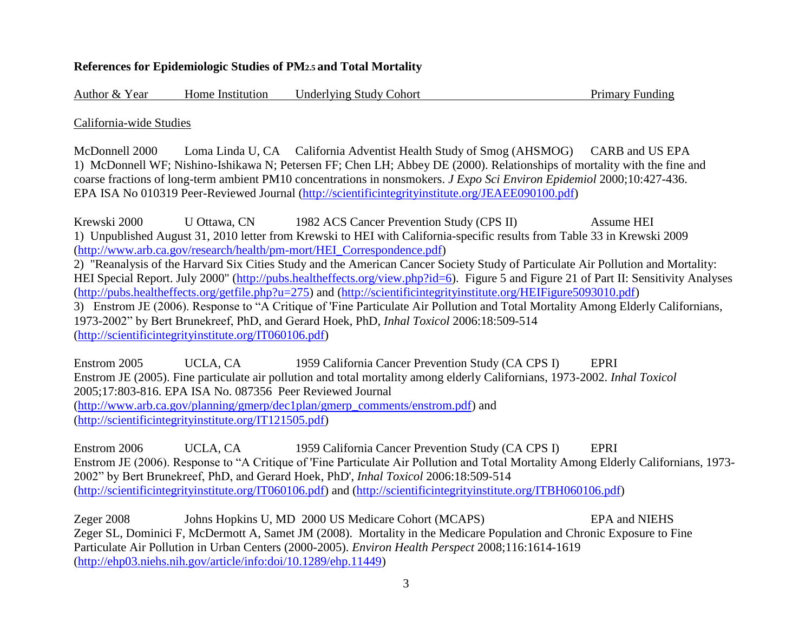### **References for Epidemiologic Studies of PM2.5 and Total Mortality**

Author & Year Home Institution Underlying Study Cohort Primary Funding

California-wide Studies

McDonnell 2000 Loma Linda U, CA California Adventist Health Study of Smog (AHSMOG) CARB and US EPA 1) McDonnell WF; Nishino-Ishikawa N; Petersen FF; Chen LH; Abbey DE (2000). Relationships of mortality with the fine and coarse fractions of long-term ambient PM10 concentrations in nonsmokers. *J Expo Sci Environ Epidemiol* 2000;10:427-436. EPA ISA No 010319 Peer-Reviewed Journal [\(http://scientificintegrityinstitute.org/JEAEE090100.pdf\)](http://scientificintegrityinstitute.org/JEAEE100100.pdf)

Krewski 2000 U Ottawa, CN 1982 ACS Cancer Prevention Study (CPS II) Assume HEI 1) Unpublished August 31, 2010 letter from Krewski to HEI with California-specific results from Table 33 in Krewski 2009 [\(http://www.arb.ca.gov/research/health/pm-mort/HEI\\_Correspondence.pdf\)](http://www.arb.ca.gov/research/health/pm-mort/HEI_Correspondence.pdf) 2) "Reanalysis of the Harvard Six Cities Study and the American Cancer Society Study of Particulate Air Pollution and Mortality: HEI Special Report. July 2000" [\(http://pubs.healtheffects.org/view.php?id=6\)](http://pubs.healtheffects.org/view.php?id=6). Figure 5 and Figure 21 of Part II: Sensitivity Analyses [\(http://pubs.healtheffects.org/getfile.php?u=275\)](http://pubs.healtheffects.org/getfile.php?u=275) and [\(http://scientificintegrityinstitute.org/HEIFigure5093010.pdf\)](http://scientificintegrityinstitute.org/HEIFigure5093010.pdf) 3) Enstrom JE (2006). Response to "A Critique of 'Fine Particulate Air Pollution and Total Mortality Among Elderly Californians, 1973-2002" by Bert Brunekreef, PhD, and Gerard Hoek, PhD, *Inhal Toxicol* 2006:18:509-514 [\(http://scientificintegrityinstitute.org/IT060106.pdf\)](http://scientificintegrityinstitute.org/IT060106.pdf)

Enstrom 2005 UCLA, CA 1959 California Cancer Prevention Study (CA CPS I) EPRI Enstrom JE (2005). Fine particulate air pollution and total mortality among elderly Californians, 1973-2002. *Inhal Toxicol* 2005;17:803-816. EPA ISA No. 087356 Peer Reviewed Journal [\(http://www.arb.ca.gov/planning/gmerp/dec1plan/gmerp\\_comments/enstrom.pdf\)](http://www.arb.ca.gov/planning/gmerp/dec1plan/gmerp_comments/enstrom.pdf) and [\(http://scientificintegrityinstitute.org/IT121505.pdf\)](http://scientificintegrityinstitute.org/IT121505.pdf)

Enstrom 2006 UCLA, CA 1959 California Cancer Prevention Study (CA CPS I) EPRI Enstrom JE (2006). Response to "A Critique of 'Fine Particulate Air Pollution and Total Mortality Among Elderly Californians, 1973- 2002" by Bert Brunekreef, PhD, and Gerard Hoek, PhD', *Inhal Toxicol* 2006:18:509-514 [\(http://scientificintegrityinstitute.org/IT060106.pdf\)](http://scientificintegrityinstitute.org/IT060106.pdf) and [\(http://scientificintegrityinstitute.org/ITBH060106.pdf\)](http://scientificintegrityinstitute.org/ITBH060106.pdf)

Zeger 2008 Johns Hopkins U, MD 2000 US Medicare Cohort (MCAPS) EPA and NIEHS Zeger SL, Dominici F, McDermott A, Samet JM (2008). Mortality in the Medicare Population and Chronic Exposure to Fine Particulate Air Pollution in Urban Centers (2000-2005). *Environ Health Perspect* 2008;116:1614-1619 [\(http://ehp03.niehs.nih.gov/article/info:doi/10.1289/ehp.11449\)](http://ehp03.niehs.nih.gov/article/info:doi/10.1289/ehp.11449)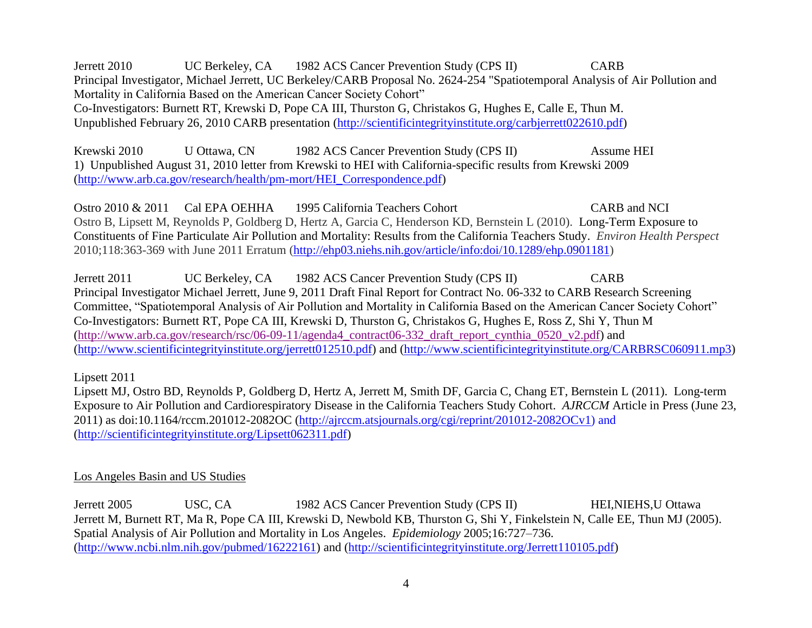Jerrett 2010 UC Berkeley, CA 1982 ACS Cancer Prevention Study (CPS II) CARB Principal Investigator, Michael Jerrett, UC Berkeley/CARB Proposal No. 2624-254 "Spatiotemporal Analysis of Air Pollution and Mortality in California Based on the American Cancer Society Cohort" Co-Investigators: Burnett RT, Krewski D, Pope CA III, Thurston G, Christakos G, Hughes E, Calle E, Thun M. Unpublished February 26, 2010 CARB presentation [\(http://scientificintegrityinstitute.org/carbjerrett022610.pdf\)](http://scientificintegrityinstitute.org/carbjerrett022610.pdf)

Krewski 2010 U Ottawa, CN 1982 ACS Cancer Prevention Study (CPS II) Assume HEI 1) Unpublished August 31, 2010 letter from Krewski to HEI with California-specific results from Krewski 2009 [\(http://www.arb.ca.gov/research/health/pm-mort/HEI\\_Correspondence.pdf\)](http://www.arb.ca.gov/research/health/pm-mort/HEI_Correspondence.pdf)

Ostro 2010 & 2011 Cal EPA OEHHA 1995 California Teachers Cohort CARB and NCI Ostro B, Lipsett M, Reynolds P, Goldberg D, Hertz A, Garcia C, Henderson KD, Bernstein L (2010). Long-Term Exposure to Constituents of Fine Particulate Air Pollution and Mortality: Results from the California Teachers Study. *Environ Health Perspect* 2010;118:363-369 with June 2011 Erratum [\(http://ehp03.niehs.nih.gov/article/info:doi/10.1289/ehp.0901181\)](http://ehp03.niehs.nih.gov/article/info:doi/10.1289/ehp.0901181)

Jerrett 2011 UC Berkeley, CA 1982 ACS Cancer Prevention Study (CPS II) CARB Principal Investigator Michael Jerrett, June 9, 2011 Draft Final Report for Contract No. 06-332 to CARB Research Screening Committee, "Spatiotemporal Analysis of Air Pollution and Mortality in California Based on the American Cancer Society Cohort" Co-Investigators: Burnett RT, Pope CA III, Krewski D, Thurston G, Christakos G, Hughes E, Ross Z, Shi Y, Thun M [\(http://www.arb.ca.gov/research/rsc/06-09-11/agenda4\\_contract06-332\\_draft\\_report\\_cynthia\\_0520\\_v2.pdf\)](http://www.arb.ca.gov/research/rsc/06-09-11/agenda4_contract06-332_draft_report_cynthia_0520_v2.pdf) and [\(http://www.scientificintegrityinstitute.org/jerrett012510.pdf\)](http://www.scientificintegrityinstitute.org/jerrett012510.pdf) and [\(http://www.scientificintegrityinstitute.org/CARBRSC060911.mp3\)](http://www.scientificintegrityinstitute.org/CARBRSC060911.mp3)

Lipsett 2011

Lipsett MJ, Ostro BD, Reynolds P, Goldberg D, Hertz A, Jerrett M, Smith DF, Garcia C, Chang ET, Bernstein L (2011). Long-term Exposure to Air Pollution and Cardiorespiratory Disease in the California Teachers Study Cohort. *AJRCCM* Article in Press (June 23, 2011) as doi:10.1164/rccm.201012-2082OC [\(http://ajrccm.atsjournals.org/cgi/reprint/201012-2082OCv1\)](http://ajrccm.atsjournals.org/cgi/reprint/201012-2082OCv1) and [\(http://scientificintegrityinstitute.org/Lipsett062311.pdf\)](http://scientificintegrityinstitute.org/Lipsett062311.pdf)

## Los Angeles Basin and US Studies

Jerrett 2005 USC, CA 1982 ACS Cancer Prevention Study (CPS II) HEI,NIEHS,U Ottawa Jerrett M, Burnett RT, Ma R, Pope CA III, Krewski D, Newbold KB, Thurston G, Shi Y, Finkelstein N, Calle EE, Thun MJ (2005). Spatial Analysis of Air Pollution and Mortality in Los Angeles. *Epidemiology* 2005;16:727–736. [\(http://www.ncbi.nlm.nih.gov/pubmed/16222161\)](http://www.ncbi.nlm.nih.gov/pubmed/16222161) and [\(http://scientificintegrityinstitute.org/Jerrett110105.pdf\)](http://scientificintegrityinstitute.org/Jerrett110105.pdf)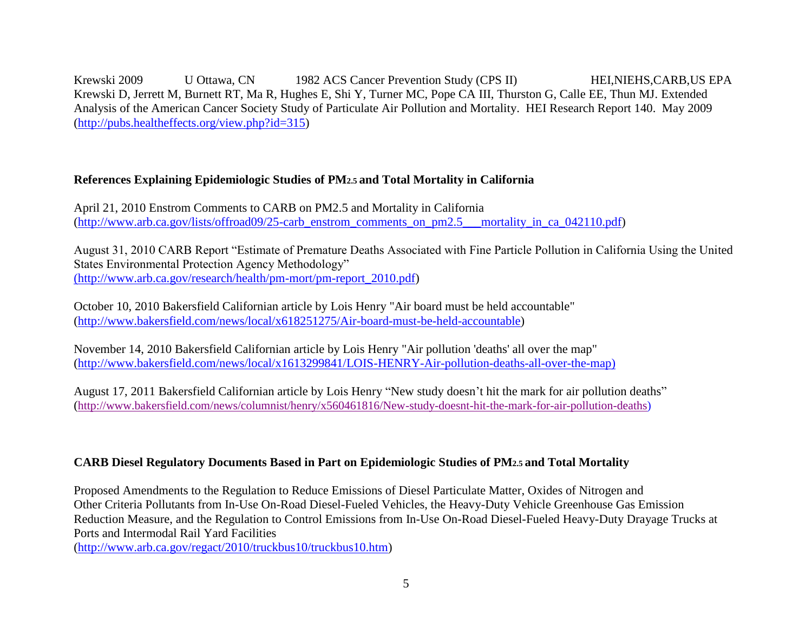Krewski 2009 U Ottawa, CN 1982 ACS Cancer Prevention Study (CPS II) HEI, NIEHS, CARB, US EPA Krewski D, Jerrett M, Burnett RT, Ma R, Hughes E, Shi Y, Turner MC, Pope CA III, Thurston G, Calle EE, Thun MJ. [Extended](http://pubs.healtheffects.org/view.php?id=315)  [Analysis of the American Cancer Society Study of Particulate Air Pollution and Mortality.](http://pubs.healtheffects.org/view.php?id=315) HEI Research Report 140. May 2009 [\(http://pubs.healtheffects.org/view.php?id=315\)](http://pubs.healtheffects.org/view.php?id=315)

# **References Explaining Epidemiologic Studies of PM2.5 and Total Mortality in California**

April 21, 2010 Enstrom Comments to CARB on PM2.5 and Mortality in California [\(http://www.arb.ca.gov/lists/offroad09/25-carb\\_enstrom\\_comments\\_on\\_pm2.5\\_\\_\\_mortality\\_in\\_ca\\_042110.pdf\)](http://www.arb.ca.gov/lists/offroad09/25-carb_enstrom_comments_on_pm2.5___mortality_in_ca_042110.pdf)

August 31, 2010 CARB Report "Estimate of Premature Deaths Associated with Fine Particle Pollution in California Using the United States Environmental Protection Agency Methodology" [\(http://www.arb.ca.gov/research/health/pm-mort/pm-report\\_2010.pdf\)]((http:/www.arb.ca.gov/research/health/pm-mort/pm-report_2010.pdf)

October 10, 2010 Bakersfield Californian article by Lois Henry "Air board must be held accountable" [\(http://www.bakersfield.com/news/local/x618251275/Air-board-must-be-held-accountable\)](http://www.bakersfield.com/news/local/x618251275/Air-board-must-be-held-accountable)

November 14, 2010 Bakersfield Californian article by Lois Henry "Air pollution 'deaths' all over the map" [\(http://www.bakersfield.com/news/local/x1613299841/LOIS-HENRY-Air-pollution-deaths-all-over-the-map\)](http://www.bakersfield.com/news/local/x1613299841/LOIS-HENRY-Air-pollution-deaths-all-over-the-map)

August 17, 2011 Bakersfield Californian article by Lois Henry "New study doesn't hit the mark for air pollution deaths" ([http://www.bakersfield.com/news/columnist/henry/x560461816/New-study-doesnt-hit-the-mark-for-air-pollution-deaths\)](http://www.bakersfield.com/news/columnist/henry/x560461816/New-study-doesnt-hit-the-mark-for-air-pollution-deaths)

## **CARB Diesel Regulatory Documents Based in Part on Epidemiologic Studies of PM2.5 and Total Mortality**

Proposed Amendments to the Regulation to Reduce Emissions of Diesel Particulate Matter, Oxides of Nitrogen and Other Criteria Pollutants from In-Use On-Road Diesel-Fueled Vehicles, the Heavy-Duty Vehicle Greenhouse Gas Emission Reduction Measure, and the Regulation to Control Emissions from In-Use On-Road Diesel-Fueled Heavy-Duty Drayage Trucks at Ports and Intermodal Rail Yard Facilities

[\(http://www.arb.ca.gov/regact/2010/truckbus10/truckbus10.htm\)](http://www.arb.ca.gov/regact/2010/truckbus10/truckbus10.htm)